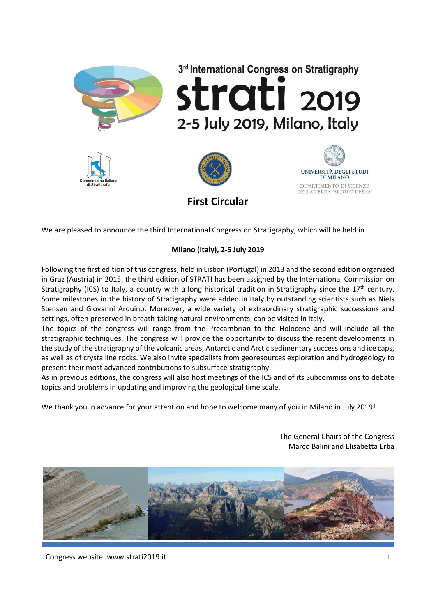

**First Circular**

We are pleased to announce the third International Congress on Stratigraphy, which will be held in

# **Milano (Italy), 2-5 July 2019**

Following the first edition of this congress, held in Lisbon (Portugal) in 2013 and the second edition organized in Graz (Austria) in 2015, the third edition of STRATI has been assigned by the International Commission on Stratigraphy (ICS) to Italy, a country with a long historical tradition in Stratigraphy since the  $17<sup>th</sup>$  century. Some milestones in the history of Stratigraphy were added in Italy by outstanding scientists such as Niels Stensen and Giovanni Arduino. Moreover, a wide variety of extraordinary stratigraphic successions and settings, often preserved in breath-taking natural environments, can be visited in Italy.

The topics of the congress will range from the Precambrian to the Holocene and will include all the stratigraphic techniques. The congress will provide the opportunity to discuss the recent developments in the study of the stratigraphy of the volcanic areas, Antarctic and Arctic sedimentary successions and ice caps, as well as of crystalline rocks. We also invite specialists from georesources exploration and hydrogeology to present their most advanced contributions to subsurface stratigraphy.

As in previous editions, the congress will also host meetings of the ICS and of its Subcommissions to debate topics and problems in updating and improving the geological time scale.

We thank you in advance for your attention and hope to welcome many of you in Milano in July 2019!

The General Chairs of the Congress Marco Balini and Elisabetta Erba



Congress website: www.strati2019.it 1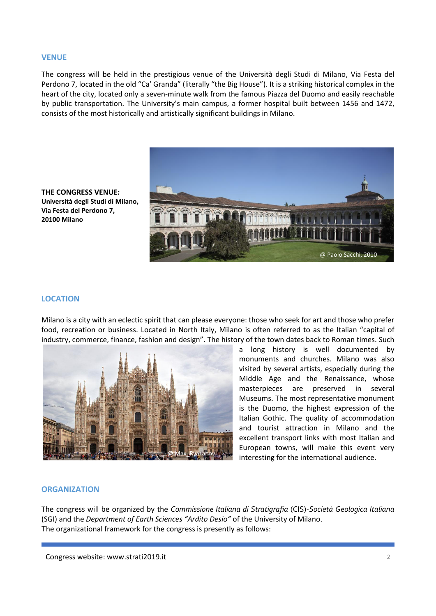#### **VENUE**

The congress will be held in the prestigious venue of the Università degli Studi di Milano, Via Festa del Perdono 7, located in the old "Ca' Granda" (literally "the Big House"). It is a striking historical complex in the heart of the city, located only a seven-minute walk from the famous Piazza del Duomo and easily reachable by public transportation. The University's main campus, a former hospital built between 1456 and 1472, consists of the most historically and artistically significant buildings in Milano.



**THE CONGRESS VENUE: Università degli Studi di Milano, Via Festa del Perdono 7, 20100 Milano** 

#### **LOCATION**

Milano is a city with an eclectic spirit that can please everyone: those who seek for art and those who prefer food, recreation or business. Located in North Italy, Milano is often referred to as the Italian "capital of industry, commerce, finance, fashion and design". The history of the town dates back to Roman times. Such



a long history is well documented by monuments and churches. Milano was also visited by several artists, especially during the Middle Age and the Renaissance, whose masterpieces are preserved in several Museums. The most representative monument is the Duomo, the highest expression of the Italian Gothic. The quality of accommodation and tourist attraction in Milano and the excellent transport links with most Italian and European towns, will make this event very interesting for the international audience.

# **ORGANIZATION**

The congress will be organized by the *Commissione Italiana di Stratigrafia* (CIS)-*Società Geologica Italiana* (SGI) and the *Department of Earth Sciences "Ardito Desio"* of the University of Milano. The organizational framework for the congress is presently as follows: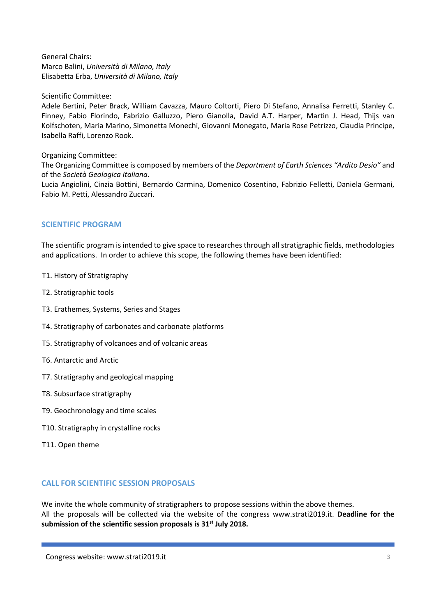General Chairs: Marco Balini, *Università di Milano, Italy* Elisabetta Erba, *Università di Milano, Italy*

# Scientific Committee:

Adele Bertini, Peter Brack, William Cavazza, Mauro Coltorti, Piero Di Stefano, Annalisa Ferretti, Stanley C. Finney, Fabio Florindo, Fabrizio Galluzzo, Piero Gianolla, David A.T. Harper, Martin J. Head, Thijs van Kolfschoten, Maria Marino, Simonetta Monechi, Giovanni Monegato, Maria Rose Petrizzo, Claudia Principe, Isabella Raffi, Lorenzo Rook.

# Organizing Committee:

The Organizing Committee is composed by members of the *Department of Earth Sciences "Ardito Desio"* and of the *Società Geologica Italiana*.

Lucia Angiolini, Cinzia Bottini, Bernardo Carmina, Domenico Cosentino, Fabrizio Felletti, Daniela Germani, Fabio M. Petti, Alessandro Zuccari.

# **SCIENTIFIC PROGRAM**

The scientific program is intended to give space to researches through all stratigraphic fields, methodologies and applications. In order to achieve this scope, the following themes have been identified:

- T1. History of Stratigraphy
- T2. Stratigraphic tools
- T3. Erathemes, Systems, Series and Stages
- T4. Stratigraphy of carbonates and carbonate platforms
- T5. Stratigraphy of volcanoes and of volcanic areas
- T6. Antarctic and Arctic
- T7. Stratigraphy and geological mapping
- T8. Subsurface stratigraphy
- T9. Geochronology and time scales
- T10. Stratigraphy in crystalline rocks
- T11. Open theme

# **CALL FOR SCIENTIFIC SESSION PROPOSALS**

We invite the whole community of stratigraphers to propose sessions within the above themes. All the proposals will be collected via the website of the congress www.strati2019.it. **Deadline for the submission of the scientific session proposals is 31st July 2018.**

Congress website: www.strati2019.it 3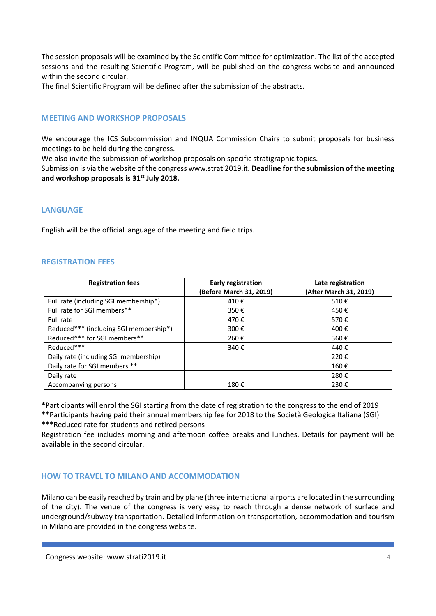The session proposals will be examined by the Scientific Committee for optimization. The list of the accepted sessions and the resulting Scientific Program, will be published on the congress website and announced within the second circular.

The final Scientific Program will be defined after the submission of the abstracts.

# **MEETING AND WORKSHOP PROPOSALS**

We encourage the ICS Subcommission and INQUA Commission Chairs to submit proposals for business meetings to be held during the congress.

We also invite the submission of workshop proposals on specific stratigraphic topics.

Submission is via the website of the congress www.strati2019.it. **Deadline for the submission of the meeting and workshop proposals is 31st July 2018.**

#### **LANGUAGE**

English will be the official language of the meeting and field trips.

#### **REGISTRATION FEES**

| <b>Registration fees</b>               | <b>Early registration</b><br>(Before March 31, 2019) | Late registration<br>(After March 31, 2019) |
|----------------------------------------|------------------------------------------------------|---------------------------------------------|
| Full rate (including SGI membership*)  | 410€                                                 | 510€                                        |
| Full rate for SGI members**            | 350€                                                 | 450€                                        |
|                                        |                                                      |                                             |
| Full rate                              | 470€                                                 | 570€                                        |
| Reduced*** (including SGI membership*) | 300€                                                 | 400€                                        |
| Reduced*** for SGI members**           | 260€                                                 | 360€                                        |
| Reduced***                             | 340€                                                 | 440€                                        |
| Daily rate (including SGI membership)  |                                                      | 220€                                        |
| Daily rate for SGI members **          |                                                      | 160€                                        |
| Daily rate                             |                                                      | 280€                                        |
| Accompanying persons                   | 180€                                                 | 230€                                        |

\*Participants will enrol the SGI starting from the date of registration to the congress to the end of 2019 \*\*Participants having paid their annual membership fee for 2018 to the Società Geologica Italiana (SGI) \*\*\*Reduced rate for students and retired persons

Registration fee includes morning and afternoon coffee breaks and lunches. Details for payment will be available in the second circular.

# **HOW TO TRAVEL TO MILANO AND ACCOMMODATION**

Milano can be easily reached by train and by plane (three international airports are located in the surrounding of the city). The venue of the congress is very easy to reach through a dense network of surface and underground/subway transportation. Detailed information on transportation, accommodation and tourism in Milano are provided in the congress website.